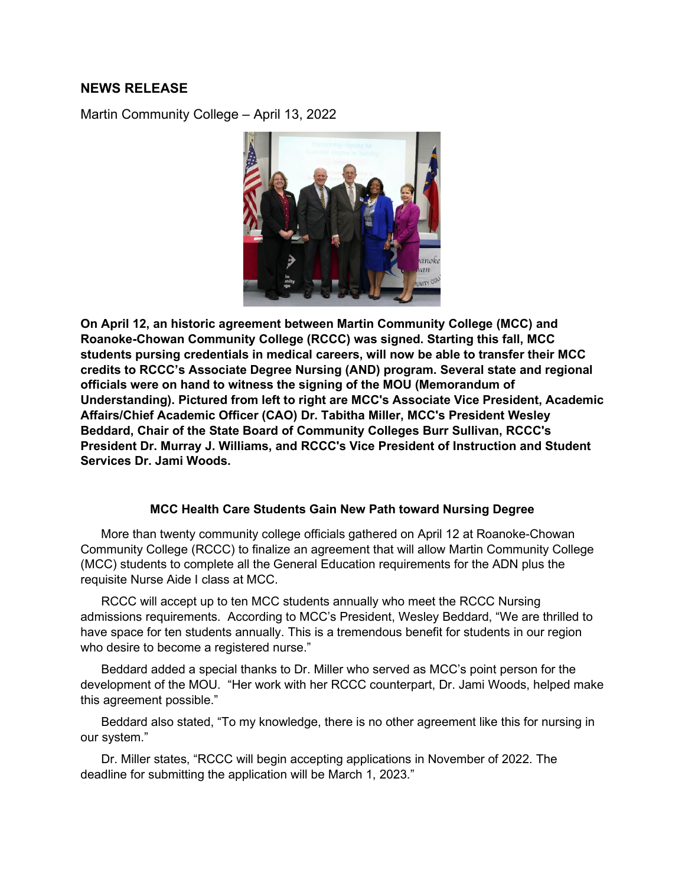## **NEWS RELEASE**

Martin Community College – April 13, 2022



**On April 12, an historic agreement between Martin Community College (MCC) and Roanoke-Chowan Community College (RCCC) was signed. Starting this fall, MCC students pursing credentials in medical careers, will now be able to transfer their MCC credits to RCCC's Associate Degree Nursing (AND) program. Several state and regional officials were on hand to witness the signing of the MOU (Memorandum of Understanding). Pictured from left to right are MCC's Associate Vice President, Academic Affairs/Chief Academic Officer (CAO) Dr. Tabitha Miller, MCC's President Wesley Beddard, Chair of the State Board of Community Colleges Burr Sullivan, RCCC's President Dr. Murray J. Williams, and RCCC's Vice President of Instruction and Student Services Dr. Jami Woods.** 

## **MCC Health Care Students Gain New Path toward Nursing Degree**

 More than twenty community college officials gathered on April 12 at Roanoke-Chowan Community College (RCCC) to finalize an agreement that will allow Martin Community College (MCC) students to complete all the General Education requirements for the ADN plus the requisite Nurse Aide I class at MCC.

 RCCC will accept up to ten MCC students annually who meet the RCCC Nursing admissions requirements. According to MCC's President, Wesley Beddard, "We are thrilled to have space for ten students annually. This is a tremendous benefit for students in our region who desire to become a registered nurse."

 Beddard added a special thanks to Dr. Miller who served as MCC's point person for the development of the MOU. "Her work with her RCCC counterpart, Dr. Jami Woods, helped make this agreement possible."

 Beddard also stated, "To my knowledge, there is no other agreement like this for nursing in our system."

 Dr. Miller states, "RCCC will begin accepting applications in November of 2022. The deadline for submitting the application will be March 1, 2023."